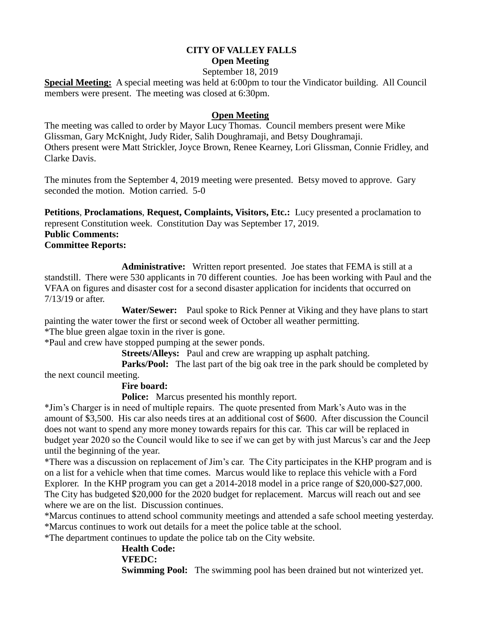# **CITY OF VALLEY FALLS Open Meeting**

September 18, 2019

**Special Meeting:** A special meeting was held at 6:00pm to tour the Vindicator building. All Council members were present. The meeting was closed at 6:30pm.

## **Open Meeting**

The meeting was called to order by Mayor Lucy Thomas. Council members present were Mike Glissman, Gary McKnight, Judy Rider, Salih Doughramaji, and Betsy Doughramaji. Others present were Matt Strickler, Joyce Brown, Renee Kearney, Lori Glissman, Connie Fridley, and Clarke Davis.

The minutes from the September 4, 2019 meeting were presented. Betsy moved to approve. Gary seconded the motion. Motion carried. 5-0

**Petitions**, **Proclamations**, **Request, Complaints, Visitors, Etc.:** Lucy presented a proclamation to represent Constitution week. Constitution Day was September 17, 2019.

#### **Public Comments:**

## **Committee Reports:**

**Administrative:** Written report presented. Joe states that FEMA is still at a standstill. There were 530 applicants in 70 different counties. Joe has been working with Paul and the VFAA on figures and disaster cost for a second disaster application for incidents that occurred on 7/13/19 or after.

 **Water/Sewer:** Paul spoke to Rick Penner at Viking and they have plans to start painting the water tower the first or second week of October all weather permitting. \*The blue green algae toxin in the river is gone.

\*Paul and crew have stopped pumping at the sewer ponds.

**Streets/Alleys:** Paul and crew are wrapping up asphalt patching.

**Parks/Pool:** The last part of the big oak tree in the park should be completed by the next council meeting.

## **Fire board:**

**Police:** Marcus presented his monthly report.

\*Jim's Charger is in need of multiple repairs. The quote presented from Mark's Auto was in the amount of \$3,500. His car also needs tires at an additional cost of \$600. After discussion the Council does not want to spend any more money towards repairs for this car. This car will be replaced in budget year 2020 so the Council would like to see if we can get by with just Marcus's car and the Jeep until the beginning of the year.

\*There was a discussion on replacement of Jim's car. The City participates in the KHP program and is on a list for a vehicle when that time comes. Marcus would like to replace this vehicle with a Ford Explorer. In the KHP program you can get a 2014-2018 model in a price range of \$20,000-\$27,000. The City has budgeted \$20,000 for the 2020 budget for replacement. Marcus will reach out and see where we are on the list. Discussion continues.

\*Marcus continues to attend school community meetings and attended a safe school meeting yesterday. \*Marcus continues to work out details for a meet the police table at the school.

\*The department continues to update the police tab on the City website.

# **Health Code: VFEDC: Swimming Pool:** The swimming pool has been drained but not winterized yet.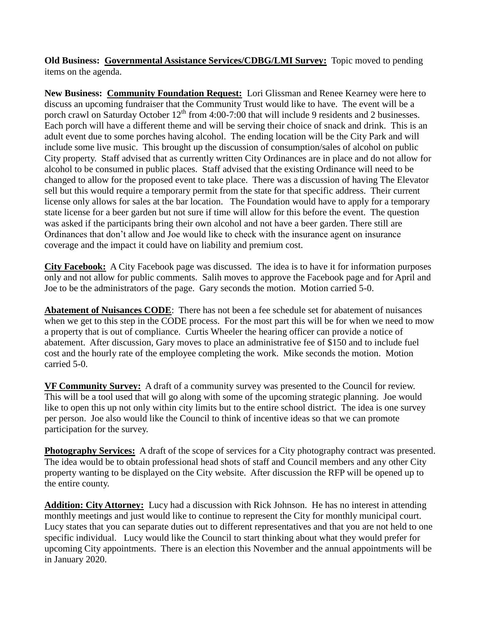**Old Business: Governmental Assistance Services/CDBG/LMI Survey:** Topic moved to pending items on the agenda.

**New Business: Community Foundation Request:** Lori Glissman and Renee Kearney were here to discuss an upcoming fundraiser that the Community Trust would like to have. The event will be a porch crawl on Saturday October 12<sup>th</sup> from 4:00-7:00 that will include 9 residents and 2 businesses. Each porch will have a different theme and will be serving their choice of snack and drink. This is an adult event due to some porches having alcohol. The ending location will be the City Park and will include some live music. This brought up the discussion of consumption/sales of alcohol on public City property. Staff advised that as currently written City Ordinances are in place and do not allow for alcohol to be consumed in public places. Staff advised that the existing Ordinance will need to be changed to allow for the proposed event to take place. There was a discussion of having The Elevator sell but this would require a temporary permit from the state for that specific address. Their current license only allows for sales at the bar location. The Foundation would have to apply for a temporary state license for a beer garden but not sure if time will allow for this before the event. The question was asked if the participants bring their own alcohol and not have a beer garden. There still are Ordinances that don't allow and Joe would like to check with the insurance agent on insurance coverage and the impact it could have on liability and premium cost.

**City Facebook:** A City Facebook page was discussed. The idea is to have it for information purposes only and not allow for public comments. Salih moves to approve the Facebook page and for April and Joe to be the administrators of the page. Gary seconds the motion. Motion carried 5-0.

**Abatement of Nuisances CODE**: There has not been a fee schedule set for abatement of nuisances when we get to this step in the CODE process. For the most part this will be for when we need to mow a property that is out of compliance. Curtis Wheeler the hearing officer can provide a notice of abatement. After discussion, Gary moves to place an administrative fee of \$150 and to include fuel cost and the hourly rate of the employee completing the work. Mike seconds the motion. Motion carried 5-0.

**VF Community Survey:** A draft of a community survey was presented to the Council for review. This will be a tool used that will go along with some of the upcoming strategic planning. Joe would like to open this up not only within city limits but to the entire school district. The idea is one survey per person. Joe also would like the Council to think of incentive ideas so that we can promote participation for the survey.

**Photography Services:** A draft of the scope of services for a City photography contract was presented. The idea would be to obtain professional head shots of staff and Council members and any other City property wanting to be displayed on the City website. After discussion the RFP will be opened up to the entire county.

**Addition: City Attorney:** Lucy had a discussion with Rick Johnson. He has no interest in attending monthly meetings and just would like to continue to represent the City for monthly municipal court. Lucy states that you can separate duties out to different representatives and that you are not held to one specific individual. Lucy would like the Council to start thinking about what they would prefer for upcoming City appointments. There is an election this November and the annual appointments will be in January 2020.